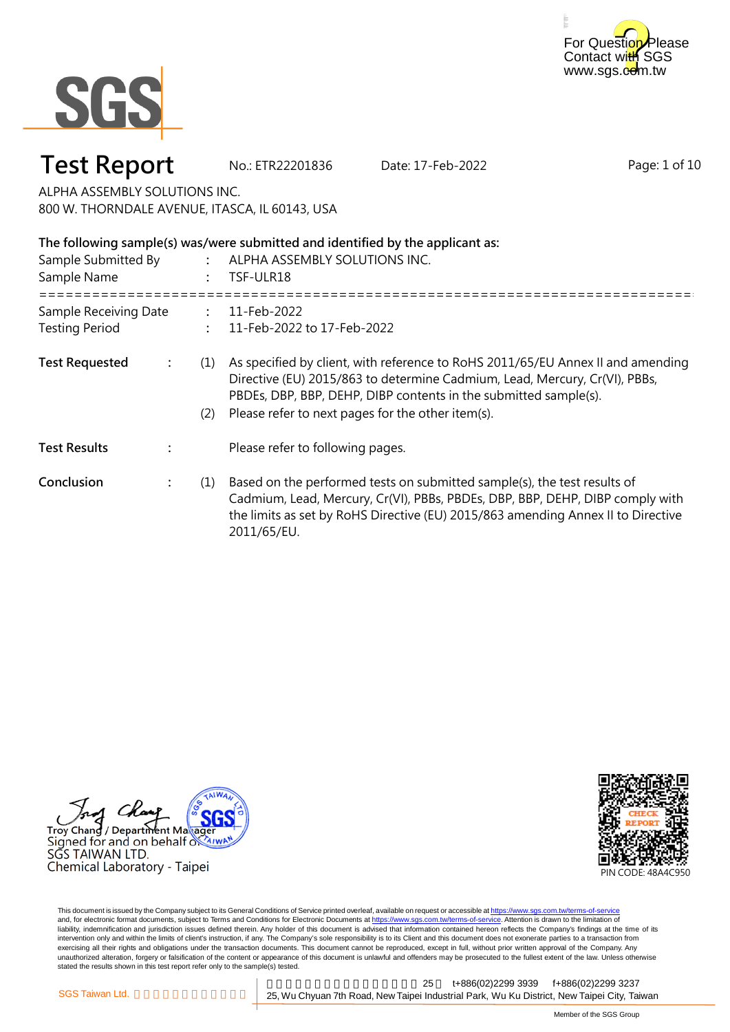



**Test Report** No.: ETR22201836 Date: 17-Feb-2022

Page: 1 of 10

ALPHA ASSEMBLY SOLUTIONS INC. 800 W. THORNDALE AVENUE, ITASCA, IL 60143, USA

| The following sample(s) was/were submitted and identified by the applicant as: |                |            |                                                                                                                                                                                                                                                                                        |  |
|--------------------------------------------------------------------------------|----------------|------------|----------------------------------------------------------------------------------------------------------------------------------------------------------------------------------------------------------------------------------------------------------------------------------------|--|
| Sample Submitted By<br>$\ddot{\cdot}$<br>Sample Name                           |                |            | ALPHA ASSEMBLY SOLUTIONS INC.<br>TSF-ULR18                                                                                                                                                                                                                                             |  |
| Sample Receiving Date<br>$\mathbb{R}^{\mathbb{Z}}$<br><b>Testing Period</b>    |                |            | 11-Feb-2022<br>11-Feb-2022 to 17-Feb-2022                                                                                                                                                                                                                                              |  |
| <b>Test Requested</b>                                                          | $\ddot{\cdot}$ | (1)<br>(2) | As specified by client, with reference to RoHS 2011/65/EU Annex II and amending<br>Directive (EU) 2015/863 to determine Cadmium, Lead, Mercury, Cr(VI), PBBs,<br>PBDEs, DBP, BBP, DEHP, DIBP contents in the submitted sample(s).<br>Please refer to next pages for the other item(s). |  |
| <b>Test Results</b>                                                            |                |            | Please refer to following pages.                                                                                                                                                                                                                                                       |  |
| Conclusion                                                                     | $\ddot{\cdot}$ | (1)        | Based on the performed tests on submitted sample(s), the test results of<br>Cadmium, Lead, Mercury, Cr(VI), PBBs, PBDEs, DBP, BBP, DEHP, DIBP comply with<br>the limits as set by RoHS Directive (EU) 2015/863 amending Annex II to Directive<br>2011/65/EU.                           |  |





This document is issued by the Company subject to its General Conditions of Service printed overleaf, available on request or accessible at <u>https://www.sgs.com.tw/terms-of-service</u><br>and, for electronic format documents, su liability, indemnification and jurisdiction issues defined therein. Any holder of this document is advised that information contained hereon reflects the Company's findings at the time of its intervention only and within the limits of client's instruction, if any. The Company's sole responsibility is to its Client and this document does not exonerate parties to a transaction from exercising all their rights and obligations under the transaction documents. This document cannot be reproduced, except in full, without prior written approval of the Company. Any<br>unauthorized alteration, forgery or falsif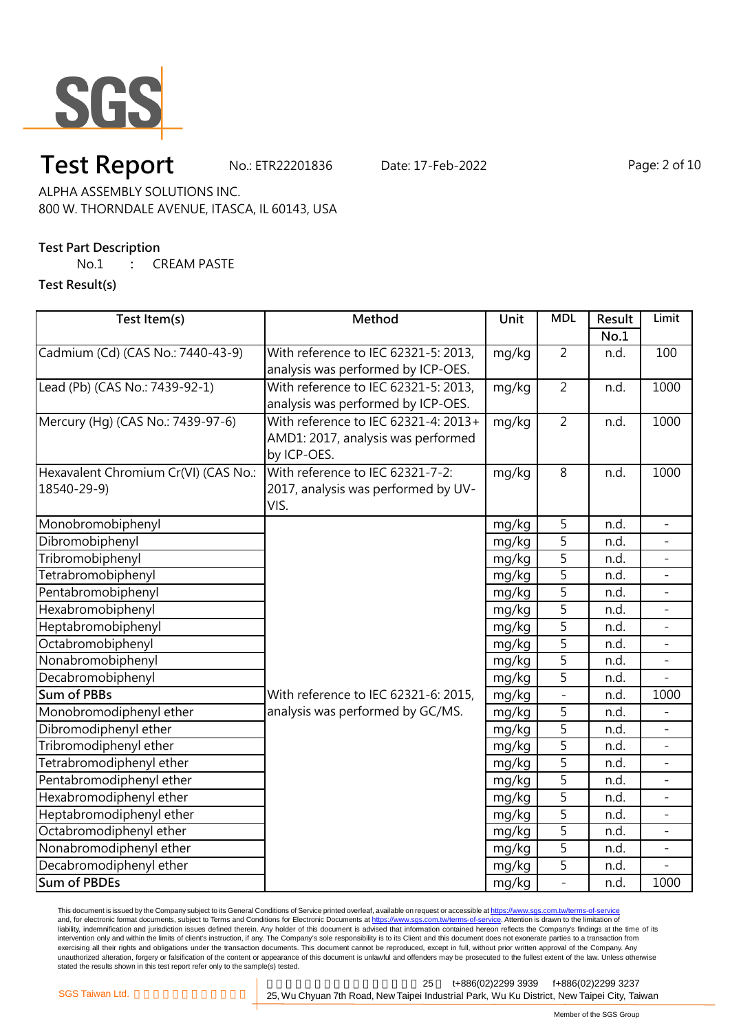

## **Test Report** No.: ETR22201836 Date: 17-Feb-2022 Page: 2 of 10

ALPHA ASSEMBLY SOLUTIONS INC. 800 W. THORNDALE AVENUE, ITASCA, IL 60143, USA

### **Test Part Description**

No.1 **:** CREAM PASTE

**Test Result(s)**

| Test Item(s)                         | Method                               | Unit  | <b>MDL</b>     | Result | Limit          |
|--------------------------------------|--------------------------------------|-------|----------------|--------|----------------|
|                                      |                                      |       |                | No.1   |                |
| Cadmium (Cd) (CAS No.: 7440-43-9)    | With reference to IEC 62321-5: 2013, | mg/kg | $\overline{2}$ | n.d.   | 100            |
|                                      | analysis was performed by ICP-OES.   |       |                |        |                |
| Lead (Pb) (CAS No.: 7439-92-1)       | With reference to IEC 62321-5: 2013, | mg/kg | $\overline{2}$ | n.d.   | 1000           |
|                                      | analysis was performed by ICP-OES.   |       |                |        |                |
| Mercury (Hg) (CAS No.: 7439-97-6)    | With reference to IEC 62321-4: 2013+ | mg/kg | $\overline{2}$ | n.d.   | 1000           |
|                                      | AMD1: 2017, analysis was performed   |       |                |        |                |
|                                      | by ICP-OES.                          |       |                |        |                |
| Hexavalent Chromium Cr(VI) (CAS No.: | With reference to IEC 62321-7-2:     | mg/kg | 8              | n.d.   | 1000           |
| 18540-29-9)                          | 2017, analysis was performed by UV-  |       |                |        |                |
|                                      | VIS.                                 |       |                |        |                |
| Monobromobiphenyl                    |                                      | mg/kg | 5              | n.d.   |                |
| Dibromobiphenyl                      |                                      | mg/kg | $\overline{5}$ | n.d.   |                |
| Tribromobiphenyl                     |                                      | mg/kg | $\overline{5}$ | n.d.   |                |
| Tetrabromobiphenyl                   |                                      | mg/kg | 5              | n.d.   |                |
| Pentabromobiphenyl                   |                                      | mg/kg | $\overline{5}$ | n.d.   |                |
| Hexabromobiphenyl                    |                                      | mg/kg | 5              | n.d.   |                |
| Heptabromobiphenyl                   |                                      | mg/kg | 5              | n.d.   |                |
| Octabromobiphenyl                    |                                      | mg/kg | $\overline{5}$ | n.d.   |                |
| Nonabromobiphenyl                    |                                      | mg/kg | $\overline{5}$ | n.d.   |                |
| Decabromobiphenyl                    |                                      | mg/kg | $\overline{5}$ | n.d.   |                |
| <b>Sum of PBBs</b>                   | With reference to IEC 62321-6: 2015, | mg/kg | $\overline{a}$ | n.d.   | 1000           |
| Monobromodiphenyl ether              | analysis was performed by GC/MS.     | mg/kg | 5              | n.d.   |                |
| Dibromodiphenyl ether                |                                      | mg/kg | $\overline{5}$ | n.d.   |                |
| Tribromodiphenyl ether               |                                      | mg/kg | 5              | n.d.   |                |
| Tetrabromodiphenyl ether             |                                      | mg/kg | 5              | n.d.   | $\blacksquare$ |
| Pentabromodiphenyl ether             |                                      | mg/kg | $\overline{5}$ | n.d.   |                |
| Hexabromodiphenyl ether              |                                      | mg/kg | 5              | n.d.   |                |
| Heptabromodiphenyl ether             |                                      | mg/kg | 5              | n.d.   |                |
| Octabromodiphenyl ether              |                                      | mg/kg | 5              | n.d.   |                |
| Nonabromodiphenyl ether              |                                      | mg/kg | $\overline{5}$ | n.d.   |                |
| Decabromodiphenyl ether              |                                      | mg/kg | 5              | n.d.   |                |
| <b>Sum of PBDEs</b>                  |                                      | mg/kg | $\overline{a}$ | n.d.   | 1000           |

This document is issued by the Company subject to its General Conditions of Service printed overleaf, available on request or accessible at <u>https://www.sgs.com.tw/terms-of-service</u><br>and, for electronic format documents, su liability, indemnification and jurisdiction issues defined therein. Any holder of this document is advised that information contained hereon reflects the Company's findings at the time of its intervention only and within the limits of client's instruction, if any. The Company's sole responsibility is to its Client and this document does not exonerate parties to a transaction from exercising all their rights and obligations under the transaction documents. This document cannot be reproduced, except in full, without prior written approval of the Company. Any<br>unauthorized alteration, forgery or falsif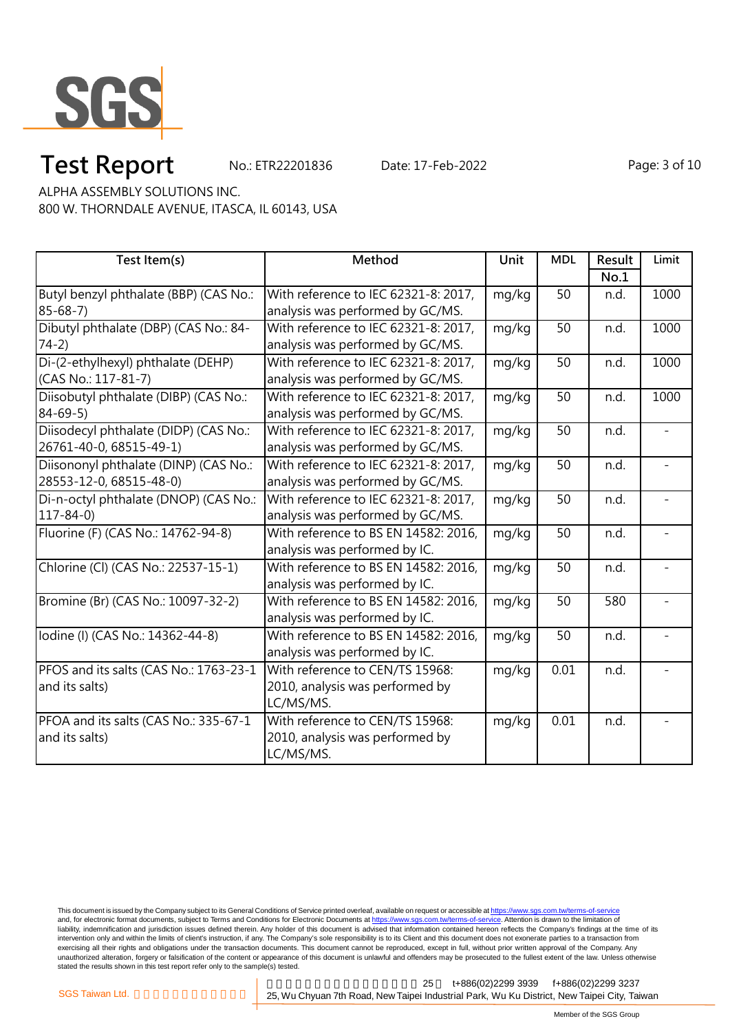

# **Test Report** No.: ETR22201836 Date: 17-Feb-2022 Page: 3 of 10

ALPHA ASSEMBLY SOLUTIONS INC.

800 W. THORNDALE AVENUE, ITASCA, IL 60143, USA

| Test Item(s)                           | Method                               | Unit  | <b>MDL</b>      | Result | Limit                    |
|----------------------------------------|--------------------------------------|-------|-----------------|--------|--------------------------|
|                                        |                                      |       |                 | No.1   |                          |
| Butyl benzyl phthalate (BBP) (CAS No.: | With reference to IEC 62321-8: 2017, | mg/kg | 50              | n.d.   | 1000                     |
| $85 - 68 - 7$                          | analysis was performed by GC/MS.     |       |                 |        |                          |
| Dibutyl phthalate (DBP) (CAS No.: 84-  | With reference to IEC 62321-8: 2017, | mg/kg | 50              | n.d.   | 1000                     |
| $74-2)$                                | analysis was performed by GC/MS.     |       |                 |        |                          |
| Di-(2-ethylhexyl) phthalate (DEHP)     | With reference to IEC 62321-8: 2017, | mg/kg | 50              | n.d.   | 1000                     |
| (CAS No.: 117-81-7)                    | analysis was performed by GC/MS.     |       |                 |        |                          |
| Diisobutyl phthalate (DIBP) (CAS No.:  | With reference to IEC 62321-8: 2017, | mg/kg | 50              | n.d.   | 1000                     |
| $84 - 69 - 5$                          | analysis was performed by GC/MS.     |       |                 |        |                          |
| Diisodecyl phthalate (DIDP) (CAS No.:  | With reference to IEC 62321-8: 2017, | mg/kg | 50              | n.d.   | $\overline{a}$           |
| 26761-40-0, 68515-49-1)                | analysis was performed by GC/MS.     |       |                 |        |                          |
| Diisononyl phthalate (DINP) (CAS No.:  | With reference to IEC 62321-8: 2017, | mg/kg | $\overline{50}$ | n.d.   | $\overline{\phantom{a}}$ |
| 28553-12-0, 68515-48-0)                | analysis was performed by GC/MS.     |       |                 |        |                          |
| Di-n-octyl phthalate (DNOP) (CAS No.:  | With reference to IEC 62321-8: 2017, | mg/kg | 50              | n.d.   | $\overline{\phantom{a}}$ |
| $117 - 84 - 0$                         | analysis was performed by GC/MS.     |       |                 |        |                          |
| Fluorine (F) (CAS No.: 14762-94-8)     | With reference to BS EN 14582: 2016, | mg/kg | 50              | n.d.   |                          |
|                                        | analysis was performed by IC.        |       |                 |        |                          |
| Chlorine (Cl) (CAS No.: 22537-15-1)    | With reference to BS EN 14582: 2016, | mg/kg | 50              | n.d.   |                          |
|                                        | analysis was performed by IC.        |       |                 |        |                          |
| Bromine (Br) (CAS No.: 10097-32-2)     | With reference to BS EN 14582: 2016, | mg/kg | 50              | 580    |                          |
|                                        | analysis was performed by IC.        |       |                 |        |                          |
| Iodine (I) (CAS No.: 14362-44-8)       | With reference to BS EN 14582: 2016, | mg/kg | 50              | n.d.   |                          |
|                                        | analysis was performed by IC.        |       |                 |        |                          |
| PFOS and its salts (CAS No.: 1763-23-1 | With reference to CEN/TS 15968:      | mg/kg | 0.01            | n.d.   |                          |
| and its salts)                         | 2010, analysis was performed by      |       |                 |        |                          |
|                                        | LC/MS/MS.                            |       |                 |        |                          |
| PFOA and its salts (CAS No.: 335-67-1  | With reference to CEN/TS 15968:      | mg/kg | 0.01            | n.d.   |                          |
| and its salts)                         | 2010, analysis was performed by      |       |                 |        |                          |
|                                        | LC/MS/MS.                            |       |                 |        |                          |

This document is issued by the Company subject to its General Conditions of Service printed overleaf, available on request or accessible at <u>https://www.sgs.com.tw/terms-of-service</u><br>and, for electronic format documents, su liability, indemnification and jurisdiction issues defined therein. Any holder of this document is advised that information contained hereon reflects the Company's findings at the time of its intervention only and within the limits of client's instruction, if any. The Company's sole responsibility is to its Client and this document does not exonerate parties to a transaction from exercising all their rights and obligations under the transaction documents. This document cannot be reproduced, except in full, without prior written approval of the Company. Any<br>unauthorized alteration, forgery or falsif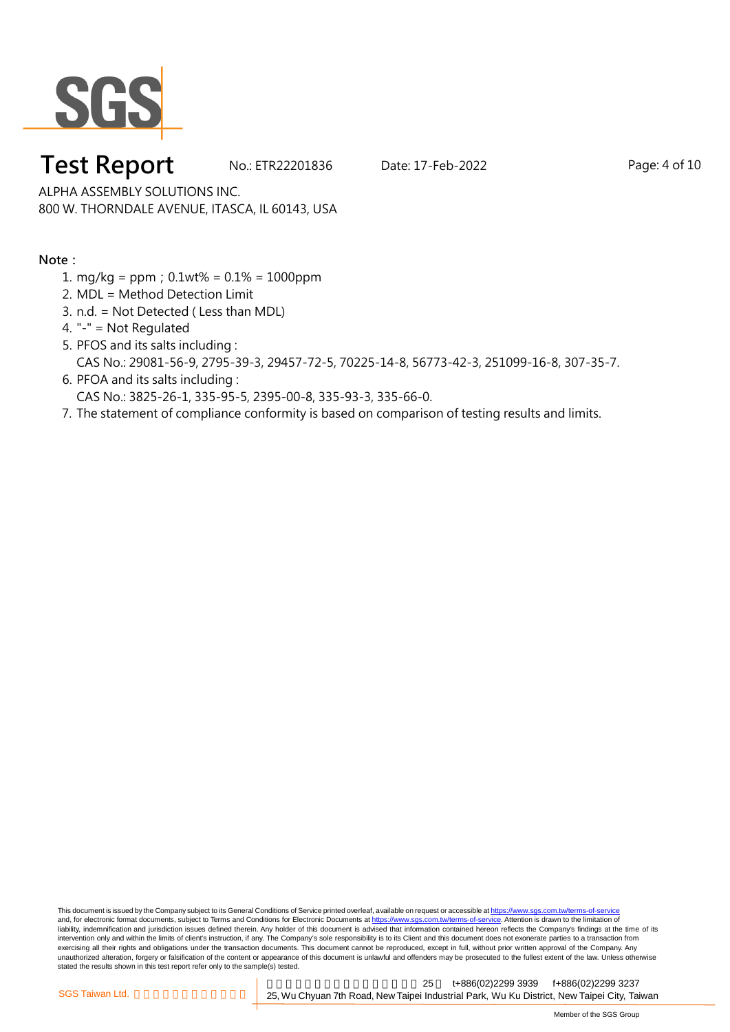

# **Test Report** No.: ETR22201836 Date: 17-Feb-2022 Page: 4 of 10

ALPHA ASSEMBLY SOLUTIONS INC. 800 W. THORNDALE AVENUE, ITASCA, IL 60143, USA

### **Note:**

- 1. mg/kg = ppm;0.1wt% = 0.1% = 1000ppm
- 2. MDL = Method Detection Limit
- 3. n.d. = Not Detected ( Less than MDL)
- 4. "-" = Not Regulated
- 5. PFOS and its salts including : CAS No.: 29081-56-9, 2795-39-3, 29457-72-5, 70225-14-8, 56773-42-3, 251099-16-8, 307-35-7.
- 6. PFOA and its salts including : CAS No.: 3825-26-1, 335-95-5, 2395-00-8, 335-93-3, 335-66-0.
- 7. The statement of compliance conformity is based on comparison of testing results and limits.

This document is issued by the Company subject to its General Conditions of Service printed overleaf, available on request or accessible at https://www.sgs.com.tw/terms-of-service and, for electronic format documents, subject to Terms and Conditions for Electronic Documents at https://www.sgs.com.tw/terms-of-service. Attention is drawn to the limitation of liability, indemnification and jurisdiction issues defined therein. Any holder of this document is advised that information contained hereon reflects the Company's findings at the time of its intervention only and within the limits of client's instruction, if any. The Company's sole responsibility is to its Client and this document does not exonerate parties to a transaction from exercising all their rights and obligations under the transaction documents. This document cannot be reproduced, except in full, without prior written approval of the Company. Any<br>unauthorized alteration, forgery or falsif stated the results shown in this test report refer only to the sample(s) tested.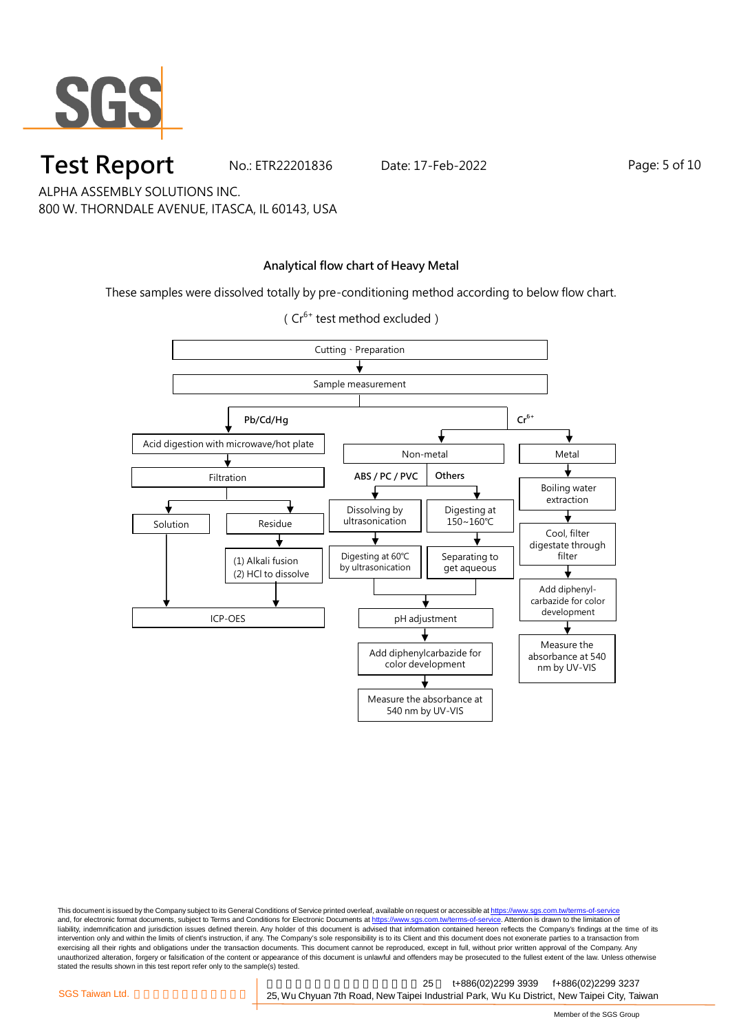

**Test Report** No.: ETR22201836 Date: 17-Feb-2022 Page: 5 of 10

ALPHA ASSEMBLY SOLUTIONS INC. 800 W. THORNDALE AVENUE, ITASCA, IL 60143, USA

### **Analytical flow chart of Heavy Metal**

These samples were dissolved totally by pre-conditioning method according to below flow chart.



( $Cr^{6+}$  test method excluded)

This document is issued by the Company subject to its General Conditions of Service printed overleaf, available on request or accessible at <u>https://www.sgs.com.tw/terms-of-service</u><br>and, for electronic format documents, su liability, indemnification and jurisdiction issues defined therein. Any holder of this document is advised that information contained hereon reflects the Company's findings at the time of its intervention only and within the limits of client's instruction, if any. The Company's sole responsibility is to its Client and this document does not exonerate parties to a transaction from exercising all their rights and obligations under the transaction documents. This document cannot be reproduced, except in full, without prior written approval of the Company. Any<br>unauthorized alteration, forgery or falsif stated the results shown in this test report refer only to the sample(s) tested.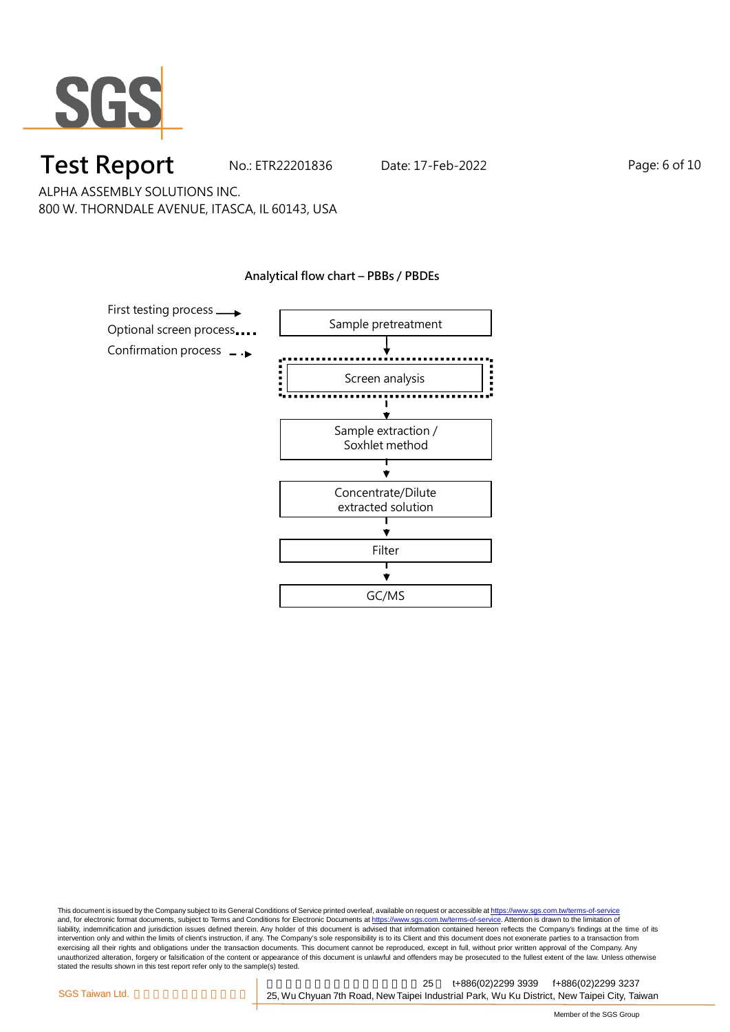

**Test Report** No.: ETR22201836 Date: 17-Feb-2022 Page: 6 of 10

ALPHA ASSEMBLY SOLUTIONS INC. 800 W. THORNDALE AVENUE, ITASCA, IL 60143, USA

#### **Analytical flow chart – PBBs / PBDEs**



This document is issued by the Company subject to its General Conditions of Service printed overleaf, available on request or accessible at <u>https://www.sgs.com.tw/terms-of-service</u><br>and, for electronic format documents, su liability, indemnification and jurisdiction issues defined therein. Any holder of this document is advised that information contained hereon reflects the Company's findings at the time of its intervention only and within the limits of client's instruction, if any. The Company's sole responsibility is to its Client and this document does not exonerate parties to a transaction from exercising all their rights and obligations under the transaction documents. This document cannot be reproduced, except in full, without prior written approval of the Company. Any<br>unauthorized alteration, forgery or falsif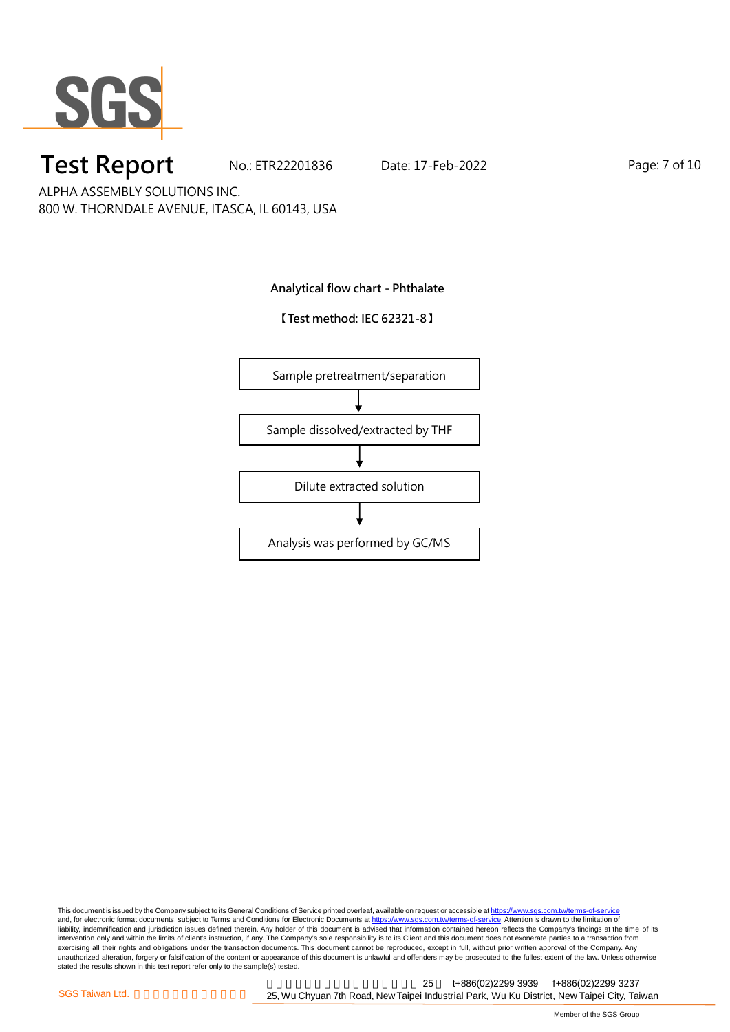

**Test Report** No.: ETR22201836 Date: 17-Feb-2022 Page: 7 of 10

ALPHA ASSEMBLY SOLUTIONS INC. 800 W. THORNDALE AVENUE, ITASCA, IL 60143, USA

**Analytical flow chart - Phthalate**

**【Test method: IEC 62321-8】**



This document is issued by the Company subject to its General Conditions of Service printed overleaf, available on request or accessible at <u>https://www.sgs.com.tw/terms-of-service</u><br>and, for electronic format documents, su liability, indemnification and jurisdiction issues defined therein. Any holder of this document is advised that information contained hereon reflects the Company's findings at the time of its intervention only and within the limits of client's instruction, if any. The Company's sole responsibility is to its Client and this document does not exonerate parties to a transaction from exercising all their rights and obligations under the transaction documents. This document cannot be reproduced, except in full, without prior written approval of the Company. Any<br>unauthorized alteration, forgery or falsif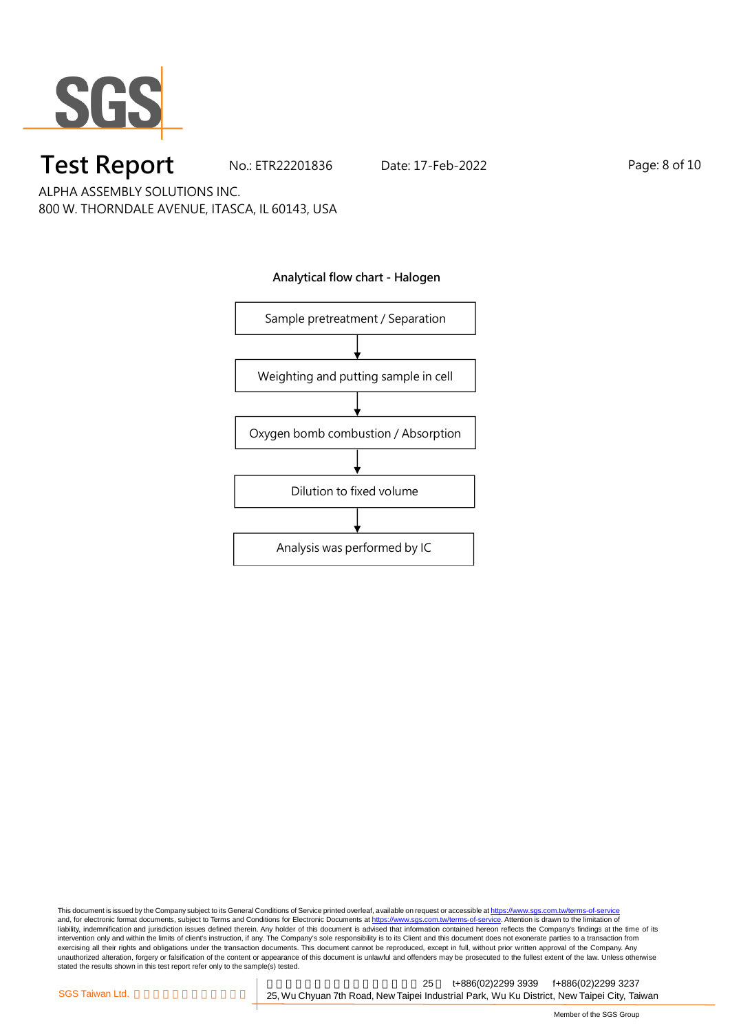

**Test Report** No.: ETR22201836 Date: 17-Feb-2022 Page: 8 of 10

ALPHA ASSEMBLY SOLUTIONS INC. 800 W. THORNDALE AVENUE, ITASCA, IL 60143, USA



This document is issued by the Company subject to its General Conditions of Service printed overleaf, available on request or accessible at <u>https://www.sgs.com.tw/terms-of-service</u><br>and, for electronic format documents, su liability, indemnification and jurisdiction issues defined therein. Any holder of this document is advised that information contained hereon reflects the Company's findings at the time of its intervention only and within the limits of client's instruction, if any. The Company's sole responsibility is to its Client and this document does not exonerate parties to a transaction from exercising all their rights and obligations under the transaction documents. This document cannot be reproduced, except in full, without prior written approval of the Company. Any<br>unauthorized alteration, forgery or falsif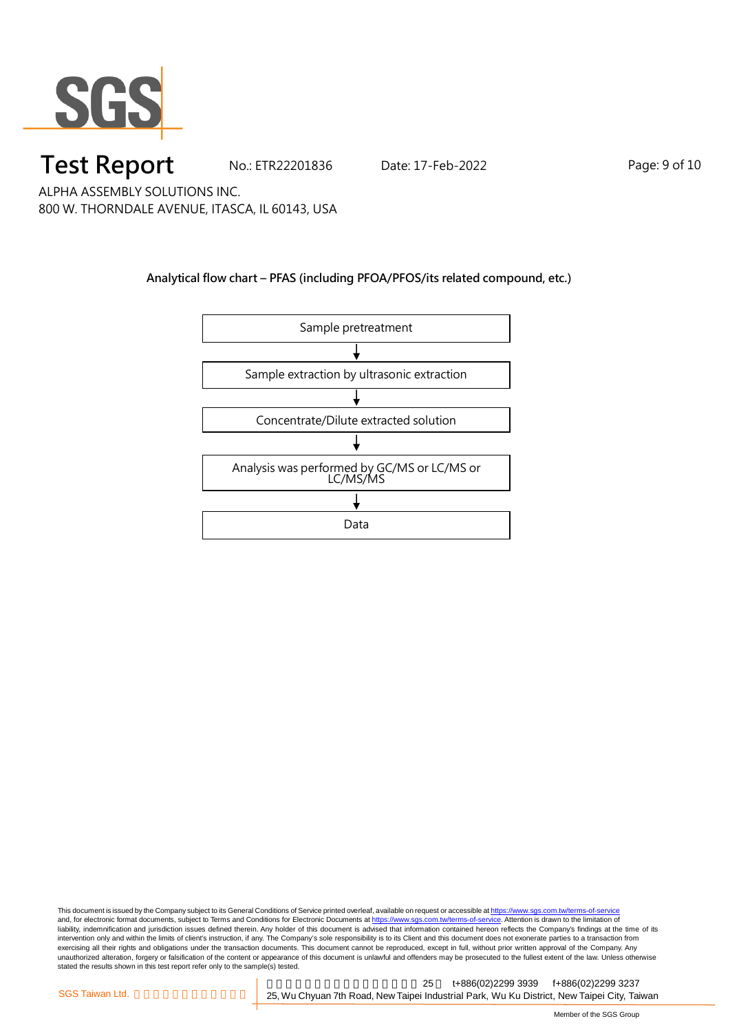

**Test Report** No.: ETR22201836 Date: 17-Feb-2022 Page: 9 of 10

ALPHA ASSEMBLY SOLUTIONS INC. 800 W. THORNDALE AVENUE, ITASCA, IL 60143, USA

### **Analytical flow chart – PFAS (including PFOA/PFOS/its related compound, etc.)**



This document is issued by the Company subject to its General Conditions of Service printed overleaf, available on request or accessible at <u>https://www.sgs.com.tw/terms-of-service</u><br>and, for electronic format documents, su liability, indemnification and jurisdiction issues defined therein. Any holder of this document is advised that information contained hereon reflects the Company's findings at the time of its intervention only and within the limits of client's instruction, if any. The Company's sole responsibility is to its Client and this document does not exonerate parties to a transaction from exercising all their rights and obligations under the transaction documents. This document cannot be reproduced, except in full, without prior written approval of the Company. Any<br>unauthorized alteration, forgery or falsif